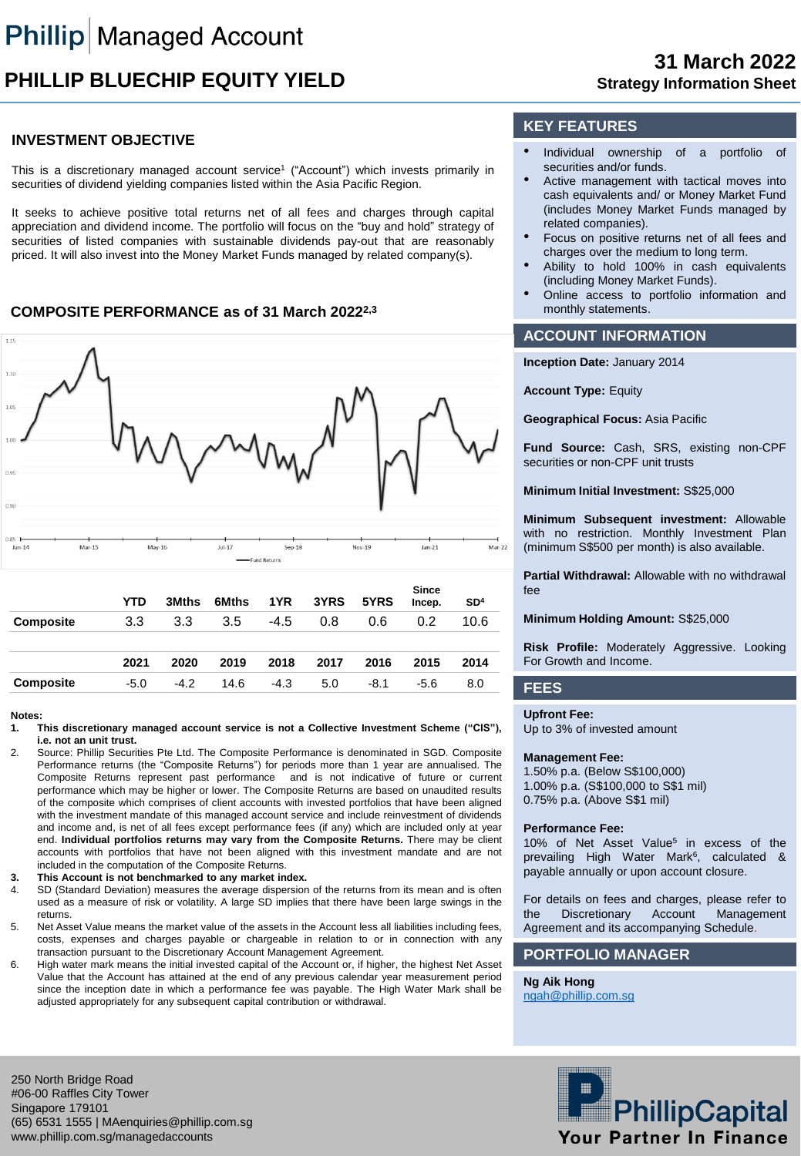# **PHILLIP BLUECHIP EQUITY YIELD**

## **INVESTMENT OBJECTIVE**

This is a discretionary managed account service<sup>1</sup> ("Account") which invests primarily in securities of dividend yielding companies listed within the Asia Pacific Region.

It seeks to achieve positive total returns net of all fees and charges through capital appreciation and dividend income. The portfolio will focus on the "buy and hold" strategy of securities of listed companies with sustainable dividends pay-out that are reasonably priced. It will also invest into the Money Market Funds managed by related company(s).

### **COMPOSITE PERFORMANCE as of 31 March 20222,3**



#### **Notes:**

- **1. This discretionary managed account service is not a Collective Investment Scheme ("CIS"), i.e. not an unit trust.**
- 2. Source: Phillip Securities Pte Ltd. The Composite Performance is denominated in SGD. Composite Performance returns (the "Composite Returns") for periods more than 1 year are annualised. The Composite Returns represent past performance and is not indicative of future or current performance which may be higher or lower. The Composite Returns are based on unaudited results of the composite which comprises of client accounts with invested portfolios that have been aligned with the investment mandate of this managed account service and include reinvestment of dividends and income and, is net of all fees except performance fees (if any) which are included only at year end. **Individual portfolios returns may vary from the Composite Returns.** There may be client accounts with portfolios that have not been aligned with this investment mandate and are not included in the computation of the Composite Returns.
- **3. This Account is not benchmarked to any market index.**
- 4. SD (Standard Deviation) measures the average dispersion of the returns from its mean and is often used as a measure of risk or volatility. A large SD implies that there have been large swings in the returns.
- 5. Net Asset Value means the market value of the assets in the Account less all liabilities including fees, costs, expenses and charges payable or chargeable in relation to or in connection with any transaction pursuant to the Discretionary Account Management Agreement.
- 6. High water mark means the initial invested capital of the Account or, if higher, the highest Net Asset Value that the Account has attained at the end of any previous calendar year measurement period since the inception date in which a performance fee was payable. The High Water Mark shall be adjusted appropriately for any subsequent capital contribution or withdrawal.

## **KEY FEATURES**

- Individual ownership of a portfolio of securities and/or funds.
- Active management with tactical moves into cash equivalents and/ or Money Market Fund (includes Money Market Funds managed by related companies).
- Focus on positive returns net of all fees and charges over the medium to long term.
- Ability to hold 100% in cash equivalents (including Money Market Funds).
- Online access to portfolio information and monthly statements.

## **ACCOUNT INFORMATION**

**Inception Date:** January 2014

**Account Type:** Equity

**Geographical Focus:** Asia Pacific

**Fund Source:** Cash, SRS, existing non-CPF securities or non-CPF unit trusts

**Minimum Initial Investment:** S\$25,000

**Minimum Subsequent investment:** Allowable with no restriction. Monthly Investment Plan (minimum S\$500 per month) is also available.

**Partial Withdrawal:** Allowable with no withdrawal fee

**Minimum Holding Amount:** S\$25,000

**Risk Profile:** Moderately Aggressive. Looking For Growth and Income.

#### **FEES**

**Upfront Fee:**

Up to 3% of invested amount

#### **Management Fee:**

1.50% p.a. (Below S\$100,000) 1.00% p.a. (S\$100,000 to S\$1 mil) 0.75% p.a. (Above S\$1 mil)

#### **Performance Fee:**

10% of Net Asset Value<sup>5</sup> in excess of the prevailing High Water Mark<sup>6</sup>, calculated & payable annually or upon account closure.

For details on fees and charges, please refer to the Discretionary Account Management Agreement and its accompanying Schedule.

#### **PORTFOLIO MANAGER**

**Ng Aik Hong** [ngah@phillip.com.sg](mailto:ngah@phillip.com.sg)



250 North Bridge Road #06-00 Raffles City Tower Singapore 179101 (65) 6531 1555 | MAenquiries@phillip.com.sg www.phillip.com.sg/managedaccounts